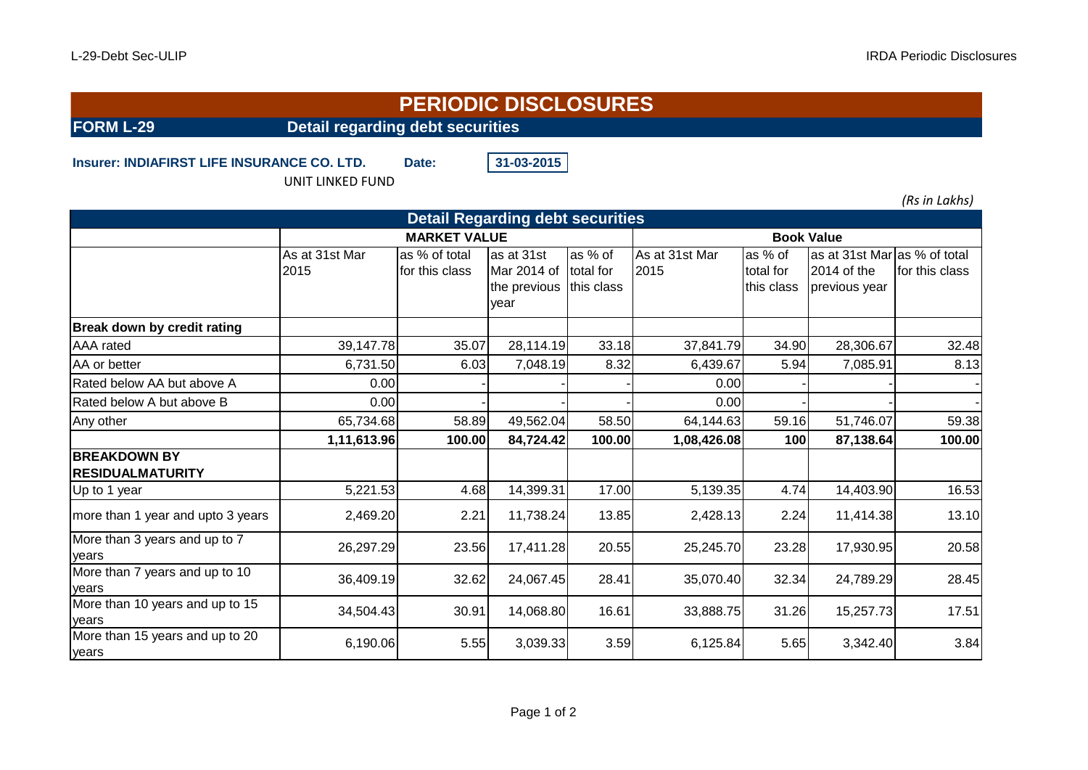## **PERIODIC DISCLOSURES**

**FORM L-29** Detail regarding debt securities

**Insurer: INDIAFIRST LIFE INSURANCE CO. LTD.** Date: 31-03-2015

UNIT LINKED FUND

*(Rs in Lakhs)*

| <b>Detail Regarding debt securities</b>        |                        |                                 |                                                   |                                    |                        |                                    |                                                              |                |  |  |  |  |
|------------------------------------------------|------------------------|---------------------------------|---------------------------------------------------|------------------------------------|------------------------|------------------------------------|--------------------------------------------------------------|----------------|--|--|--|--|
|                                                | <b>MARKET VALUE</b>    |                                 |                                                   |                                    | <b>Book Value</b>      |                                    |                                                              |                |  |  |  |  |
|                                                | As at 31st Mar<br>2015 | as % of total<br>for this class | as at 31st<br>Mar 2014 of<br>the previous<br>vear | as % of<br>total for<br>this class | As at 31st Mar<br>2015 | as % of<br>total for<br>this class | as at 31st Mar as % of total<br>2014 of the<br>previous year | for this class |  |  |  |  |
| <b>Break down by credit rating</b>             |                        |                                 |                                                   |                                    |                        |                                    |                                                              |                |  |  |  |  |
| AAA rated                                      | 39,147.78              | 35.07                           | 28,114.19                                         | 33.18                              | 37,841.79              | 34.90                              | 28,306.67                                                    | 32.48          |  |  |  |  |
| AA or better                                   | 6,731.50               | 6.03                            | 7,048.19                                          | 8.32                               | 6,439.67               | 5.94                               | 7,085.91                                                     | 8.13           |  |  |  |  |
| Rated below AA but above A                     | 0.00                   |                                 |                                                   |                                    | 0.00                   |                                    |                                                              |                |  |  |  |  |
| Rated below A but above B                      | 0.00                   |                                 |                                                   |                                    | 0.00                   |                                    |                                                              |                |  |  |  |  |
| Any other                                      | 65,734.68              | 58.89                           | 49,562.04                                         | 58.50                              | 64,144.63              | 59.16                              | 51,746.07                                                    | 59.38          |  |  |  |  |
|                                                | 1,11,613.96            | 100.00                          | 84,724.42                                         | 100.00                             | 1,08,426.08            | 100                                | 87,138.64                                                    | 100.00         |  |  |  |  |
| <b>BREAKDOWN BY</b><br><b>RESIDUALMATURITY</b> |                        |                                 |                                                   |                                    |                        |                                    |                                                              |                |  |  |  |  |
| Up to 1 year                                   | 5,221.53               | 4.68                            | 14,399.31                                         | 17.00                              | 5,139.35               | 4.74                               | 14,403.90                                                    | 16.53          |  |  |  |  |
| more than 1 year and upto 3 years              | 2,469.20               | 2.21                            | 11,738.24                                         | 13.85                              | 2,428.13               | 2.24                               | 11,414.38                                                    | 13.10          |  |  |  |  |
| More than 3 years and up to 7<br>years         | 26,297.29              | 23.56                           | 17,411.28                                         | 20.55                              | 25,245.70              | 23.28                              | 17,930.95                                                    | 20.58          |  |  |  |  |
| More than 7 years and up to 10<br>years        | 36,409.19              | 32.62                           | 24,067.45                                         | 28.41                              | 35,070.40              | 32.34                              | 24,789.29                                                    | 28.45          |  |  |  |  |
| More than 10 years and up to 15<br>vears       | 34,504.43              | 30.91                           | 14,068.80                                         | 16.61                              | 33,888.75              | 31.26                              | 15,257.73                                                    | 17.51          |  |  |  |  |
| More than 15 years and up to 20<br>years       | 6,190.06               | 5.55                            | 3,039.33                                          | 3.59                               | 6,125.84               | 5.65                               | 3,342.40                                                     | 3.84           |  |  |  |  |